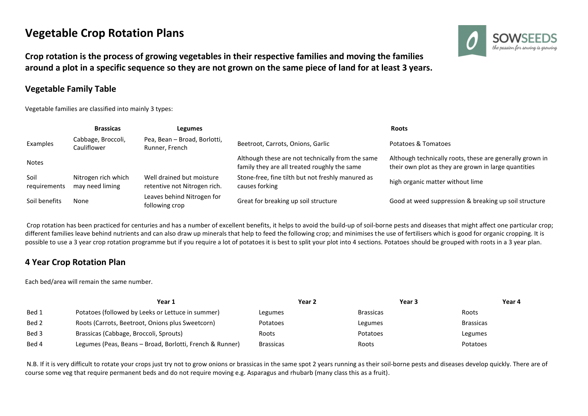## **Vegetable Crop Rotation Plans**

**Crop rotation is the process of growing vegetables in their respective families and moving the families around a plot in a specific sequence so they are not grown on the same piece of land for at least 3 years.**

## **Vegetable Family Table**

Vegetable families are classified into mainly 3 types:



|                      | <b>Brassicas</b>                       | Legumes                                                   |                                                                                                  | Roots                                                                                                            |
|----------------------|----------------------------------------|-----------------------------------------------------------|--------------------------------------------------------------------------------------------------|------------------------------------------------------------------------------------------------------------------|
| Examples             | Cabbage, Broccoli,<br>Cauliflower      | Pea, Bean - Broad, Borlotti,<br>Runner, French            | Beetroot, Carrots, Onions, Garlic                                                                | Potatoes & Tomatoes                                                                                              |
| <b>Notes</b>         |                                        |                                                           | Although these are not technically from the same<br>family they are all treated roughly the same | Although technically roots, these are generally grown in<br>their own plot as they are grown in large quantities |
| Soil<br>requirements | Nitrogen rich which<br>may need liming | Well drained but moisture<br>retentive not Nitrogen rich. | Stone-free, fine tilth but not freshly manured as<br>causes forking                              | high organic matter without lime                                                                                 |
| Soil benefits        | None                                   | Leaves behind Nitrogen for<br>following crop              | Great for breaking up soil structure                                                             | Good at weed suppression & breaking up soil structure                                                            |

Crop rotation has been practiced for centuries and has a number of excellent benefits, it helps to avoid the build-up of soil-borne pests and diseases that might affect one particular crop; different families leave behind nutrients and can also draw up minerals that help to feed the following crop; and minimises the use of fertilisers which is good for organic cropping. It is possible to use a 3 year crop rotation programme but if you require a lot of potatoes it is best to split your plot into 4 sections. Potatoes should be grouped with roots in a 3 year plan.

## **4 Year Crop Rotation Plan**

Each bed/area will remain the same number.

|       | Year 1                                                   | Year 2           | Year 3           | Year 4           |
|-------|----------------------------------------------------------|------------------|------------------|------------------|
| Bed 1 | Potatoes (followed by Leeks or Lettuce in summer)        | Legumes          | <b>Brassicas</b> | Roots            |
| Bed 2 | Roots (Carrots, Beetroot, Onions plus Sweetcorn)         | Potatoes         | Legumes          | <b>Brassicas</b> |
| Bed 3 | Brassicas (Cabbage, Broccoli, Sprouts)                   | Roots            | Potatoes         | Legumes          |
| Bed 4 | Legumes (Peas, Beans - Broad, Borlotti, French & Runner) | <b>Brassicas</b> | Roots            | Potatoes         |

N.B. If it is very difficult to rotate your crops just try not to grow onions or brassicas in the same spot 2 years running as their soil-borne pests and diseases develop quickly. There are of course some veg that require permanent beds and do not require moving e.g. Asparagus and rhubarb (many class this as a fruit).